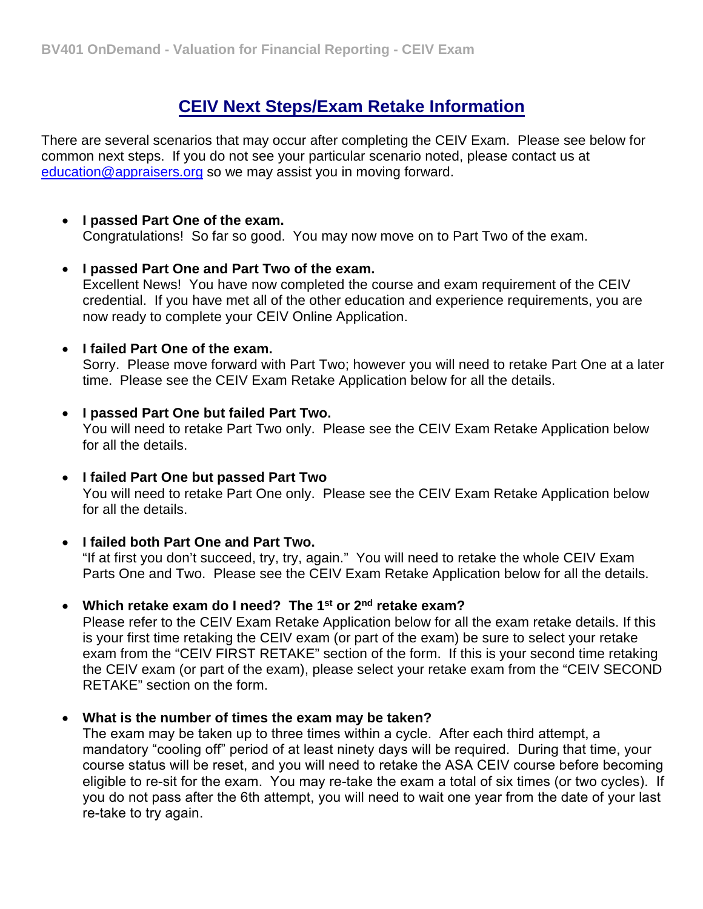## **CEIV Next Steps/Exam Retake Information**

There are several scenarios that may occur after completing the CEIV Exam. Please see below for common next steps. If you do not see your particular scenario noted, please contact us at [education@appraisers.org](mailto:education@appraisers.org) so we may assist you in moving forward.

### • **I passed Part One of the exam.**

Congratulations! So far so good. You may now move on to Part Two of the exam.

#### • **I passed Part One and Part Two of the exam.**

Excellent News! You have now completed the course and exam requirement of the CEIV credential. If you have met all of the other education and experience requirements, you are now ready to complete your CEIV Online Application.

### • **I failed Part One of the exam.**

Sorry. Please move forward with Part Two; however you will need to retake Part One at a later time. Please see the CEIV Exam Retake Application below for all the details.

## • **I passed Part One but failed Part Two.**

You will need to retake Part Two only. Please see the CEIV Exam Retake Application below for all the details.

#### • **I failed Part One but passed Part Two**

You will need to retake Part One only. Please see the CEIV Exam Retake Application below for all the details.

#### • **I failed both Part One and Part Two.**

"If at first you don't succeed, try, try, again." You will need to retake the whole CEIV Exam Parts One and Two. Please see the CEIV Exam Retake Application below for all the details.

#### • **Which retake exam do I need? The 1st or 2 nd retake exam?**

Please refer to the CEIV Exam Retake Application below for all the exam retake details. If this is your first time retaking the CEIV exam (or part of the exam) be sure to select your retake exam from the "CEIV FIRST RETAKE" section of the form. If this is your second time retaking the CEIV exam (or part of the exam), please select your retake exam from the "CEIV SECOND RETAKE" section on the form.

#### • **What is the number of times the exam may be taken?**

The exam may be taken up to three times within a cycle. After each third attempt, a mandatory "cooling off" period of at least ninety days will be required. During that time, your course status will be reset, and you will need to retake the ASA CEIV course before becoming eligible to re-sit for the exam. You may re-take the exam a total of six times (or two cycles). If you do not pass after the 6th attempt, you will need to wait one year from the date of your last re-take to try again.